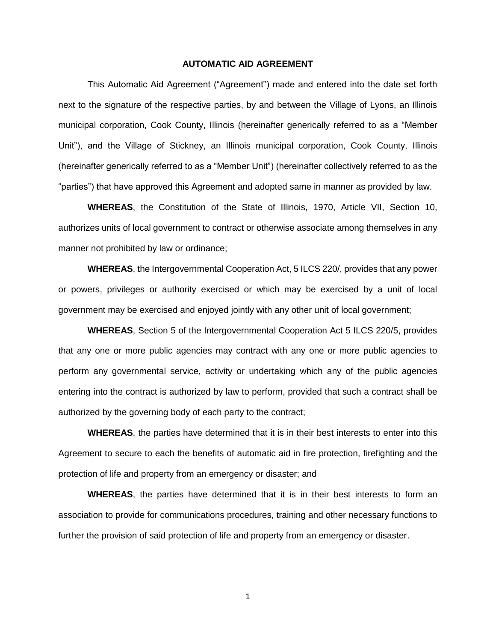## **AUTOMATIC AID AGREEMENT**

This Automatic Aid Agreement ("Agreement") made and entered into the date set forth next to the signature of the respective parties, by and between the Village of Lyons, an Illinois municipal corporation, Cook County, Illinois (hereinafter generically referred to as a "Member Unit"), and the Village of Stickney, an Illinois municipal corporation, Cook County, Illinois (hereinafter generically referred to as a "Member Unit") (hereinafter collectively referred to as the "parties") that have approved this Agreement and adopted same in manner as provided by law.

**WHEREAS**, the Constitution of the State of Illinois, 1970, Article VII, Section 10, authorizes units of local government to contract or otherwise associate among themselves in any manner not prohibited by law or ordinance;

**WHEREAS**, the Intergovernmental Cooperation Act, 5 ILCS 220/, provides that any power or powers, privileges or authority exercised or which may be exercised by a unit of local government may be exercised and enjoyed jointly with any other unit of local government;

**WHEREAS**, Section 5 of the Intergovernmental Cooperation Act 5 ILCS 220/5, provides that any one or more public agencies may contract with any one or more public agencies to perform any governmental service, activity or undertaking which any of the public agencies entering into the contract is authorized by law to perform, provided that such a contract shall be authorized by the governing body of each party to the contract;

**WHEREAS**, the parties have determined that it is in their best interests to enter into this Agreement to secure to each the benefits of automatic aid in fire protection, firefighting and the protection of life and property from an emergency or disaster; and

**WHEREAS**, the parties have determined that it is in their best interests to form an association to provide for communications procedures, training and other necessary functions to further the provision of said protection of life and property from an emergency or disaster.

1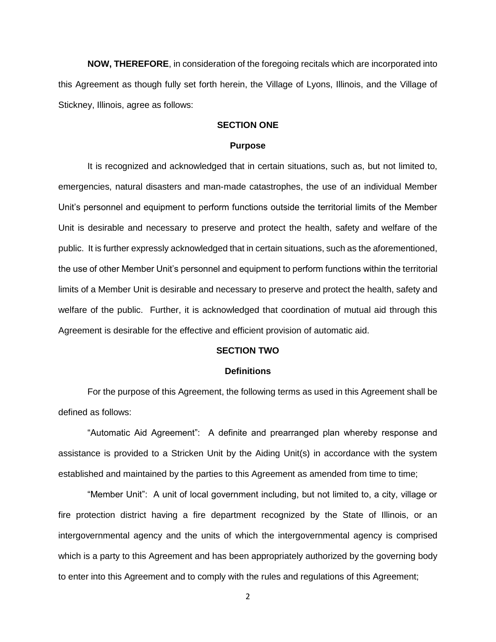**NOW, THEREFORE**, in consideration of the foregoing recitals which are incorporated into this Agreement as though fully set forth herein, the Village of Lyons, Illinois, and the Village of Stickney, Illinois, agree as follows:

# **SECTION ONE**

#### **Purpose**

It is recognized and acknowledged that in certain situations, such as, but not limited to, emergencies, natural disasters and man-made catastrophes, the use of an individual Member Unit's personnel and equipment to perform functions outside the territorial limits of the Member Unit is desirable and necessary to preserve and protect the health, safety and welfare of the public. It is further expressly acknowledged that in certain situations, such as the aforementioned, the use of other Member Unit's personnel and equipment to perform functions within the territorial limits of a Member Unit is desirable and necessary to preserve and protect the health, safety and welfare of the public. Further, it is acknowledged that coordination of mutual aid through this Agreement is desirable for the effective and efficient provision of automatic aid.

### **SECTION TWO**

### **Definitions**

For the purpose of this Agreement, the following terms as used in this Agreement shall be defined as follows:

"Automatic Aid Agreement": A definite and prearranged plan whereby response and assistance is provided to a Stricken Unit by the Aiding Unit(s) in accordance with the system established and maintained by the parties to this Agreement as amended from time to time;

"Member Unit": A unit of local government including, but not limited to, a city, village or fire protection district having a fire department recognized by the State of Illinois, or an intergovernmental agency and the units of which the intergovernmental agency is comprised which is a party to this Agreement and has been appropriately authorized by the governing body to enter into this Agreement and to comply with the rules and regulations of this Agreement;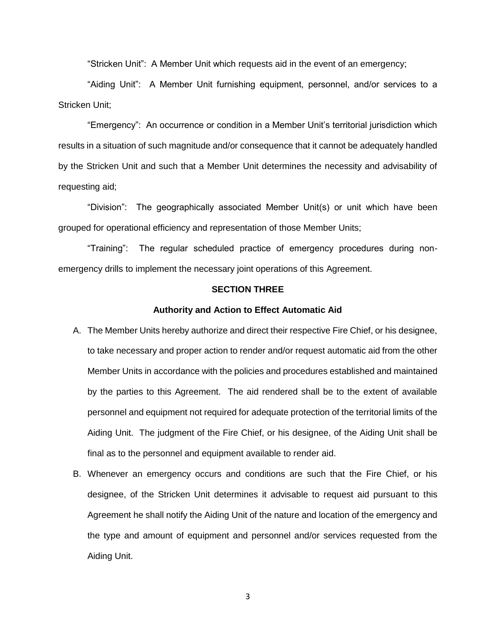"Stricken Unit": A Member Unit which requests aid in the event of an emergency;

"Aiding Unit": A Member Unit furnishing equipment, personnel, and/or services to a Stricken Unit;

"Emergency": An occurrence or condition in a Member Unit's territorial jurisdiction which results in a situation of such magnitude and/or consequence that it cannot be adequately handled by the Stricken Unit and such that a Member Unit determines the necessity and advisability of requesting aid;

"Division": The geographically associated Member Unit(s) or unit which have been grouped for operational efficiency and representation of those Member Units;

"Training": The regular scheduled practice of emergency procedures during nonemergency drills to implement the necessary joint operations of this Agreement.

### **SECTION THREE**

### **Authority and Action to Effect Automatic Aid**

- A. The Member Units hereby authorize and direct their respective Fire Chief, or his designee, to take necessary and proper action to render and/or request automatic aid from the other Member Units in accordance with the policies and procedures established and maintained by the parties to this Agreement. The aid rendered shall be to the extent of available personnel and equipment not required for adequate protection of the territorial limits of the Aiding Unit. The judgment of the Fire Chief, or his designee, of the Aiding Unit shall be final as to the personnel and equipment available to render aid.
- B. Whenever an emergency occurs and conditions are such that the Fire Chief, or his designee, of the Stricken Unit determines it advisable to request aid pursuant to this Agreement he shall notify the Aiding Unit of the nature and location of the emergency and the type and amount of equipment and personnel and/or services requested from the Aiding Unit.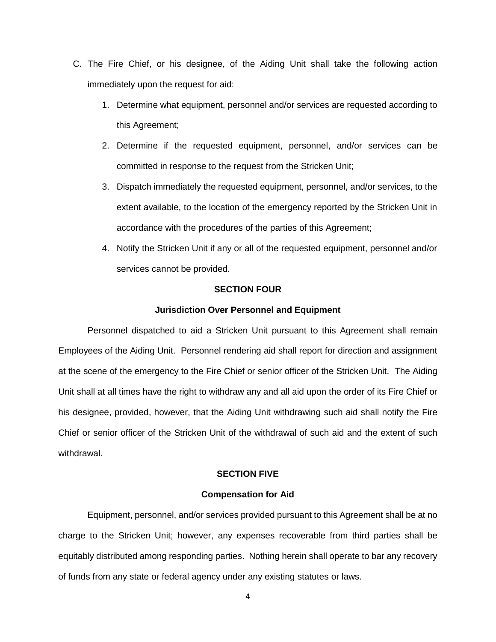- C. The Fire Chief, or his designee, of the Aiding Unit shall take the following action immediately upon the request for aid:
	- 1. Determine what equipment, personnel and/or services are requested according to this Agreement;
	- 2. Determine if the requested equipment, personnel, and/or services can be committed in response to the request from the Stricken Unit;
	- 3. Dispatch immediately the requested equipment, personnel, and/or services, to the extent available, to the location of the emergency reported by the Stricken Unit in accordance with the procedures of the parties of this Agreement;
	- 4. Notify the Stricken Unit if any or all of the requested equipment, personnel and/or services cannot be provided.

### **SECTION FOUR**

### **Jurisdiction Over Personnel and Equipment**

Personnel dispatched to aid a Stricken Unit pursuant to this Agreement shall remain Employees of the Aiding Unit. Personnel rendering aid shall report for direction and assignment at the scene of the emergency to the Fire Chief or senior officer of the Stricken Unit. The Aiding Unit shall at all times have the right to withdraw any and all aid upon the order of its Fire Chief or his designee, provided, however, that the Aiding Unit withdrawing such aid shall notify the Fire Chief or senior officer of the Stricken Unit of the withdrawal of such aid and the extent of such withdrawal.

# **SECTION FIVE**

### **Compensation for Aid**

Equipment, personnel, and/or services provided pursuant to this Agreement shall be at no charge to the Stricken Unit; however, any expenses recoverable from third parties shall be equitably distributed among responding parties. Nothing herein shall operate to bar any recovery of funds from any state or federal agency under any existing statutes or laws.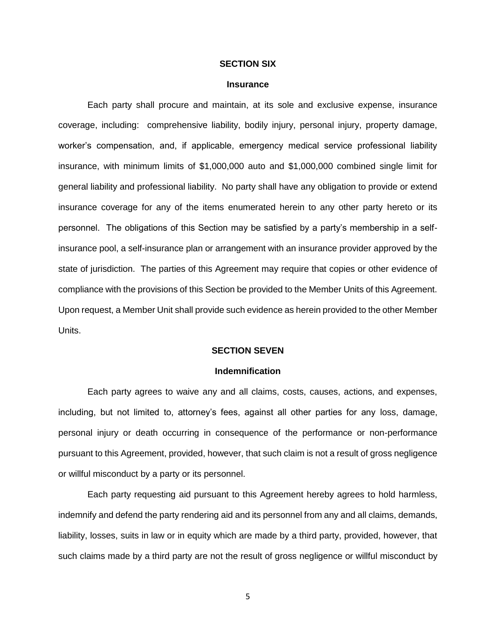### **SECTION SIX**

### **Insurance**

Each party shall procure and maintain, at its sole and exclusive expense, insurance coverage, including: comprehensive liability, bodily injury, personal injury, property damage, worker's compensation, and, if applicable, emergency medical service professional liability insurance, with minimum limits of \$1,000,000 auto and \$1,000,000 combined single limit for general liability and professional liability. No party shall have any obligation to provide or extend insurance coverage for any of the items enumerated herein to any other party hereto or its personnel. The obligations of this Section may be satisfied by a party's membership in a selfinsurance pool, a self-insurance plan or arrangement with an insurance provider approved by the state of jurisdiction. The parties of this Agreement may require that copies or other evidence of compliance with the provisions of this Section be provided to the Member Units of this Agreement. Upon request, a Member Unit shall provide such evidence as herein provided to the other Member Units.

#### **SECTION SEVEN**

### **Indemnification**

Each party agrees to waive any and all claims, costs, causes, actions, and expenses, including, but not limited to, attorney's fees, against all other parties for any loss, damage, personal injury or death occurring in consequence of the performance or non-performance pursuant to this Agreement, provided, however, that such claim is not a result of gross negligence or willful misconduct by a party or its personnel.

Each party requesting aid pursuant to this Agreement hereby agrees to hold harmless, indemnify and defend the party rendering aid and its personnel from any and all claims, demands, liability, losses, suits in law or in equity which are made by a third party, provided, however, that such claims made by a third party are not the result of gross negligence or willful misconduct by

5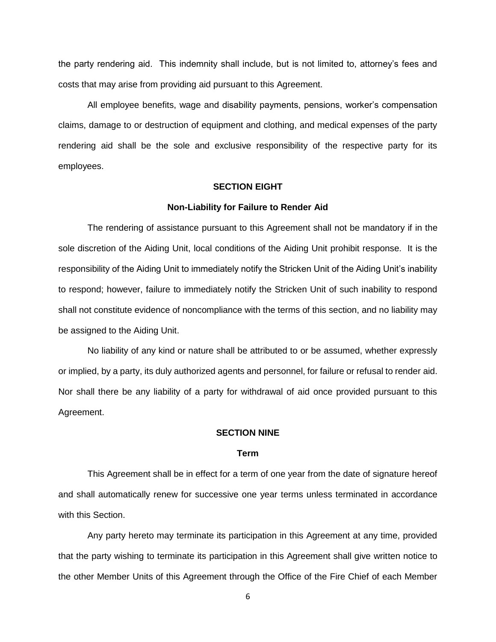the party rendering aid. This indemnity shall include, but is not limited to, attorney's fees and costs that may arise from providing aid pursuant to this Agreement.

All employee benefits, wage and disability payments, pensions, worker's compensation claims, damage to or destruction of equipment and clothing, and medical expenses of the party rendering aid shall be the sole and exclusive responsibility of the respective party for its employees.

### **SECTION EIGHT**

#### **Non-Liability for Failure to Render Aid**

The rendering of assistance pursuant to this Agreement shall not be mandatory if in the sole discretion of the Aiding Unit, local conditions of the Aiding Unit prohibit response. It is the responsibility of the Aiding Unit to immediately notify the Stricken Unit of the Aiding Unit's inability to respond; however, failure to immediately notify the Stricken Unit of such inability to respond shall not constitute evidence of noncompliance with the terms of this section, and no liability may be assigned to the Aiding Unit.

No liability of any kind or nature shall be attributed to or be assumed, whether expressly or implied, by a party, its duly authorized agents and personnel, for failure or refusal to render aid. Nor shall there be any liability of a party for withdrawal of aid once provided pursuant to this Agreement.

### **SECTION NINE**

#### **Term**

This Agreement shall be in effect for a term of one year from the date of signature hereof and shall automatically renew for successive one year terms unless terminated in accordance with this Section.

Any party hereto may terminate its participation in this Agreement at any time, provided that the party wishing to terminate its participation in this Agreement shall give written notice to the other Member Units of this Agreement through the Office of the Fire Chief of each Member

6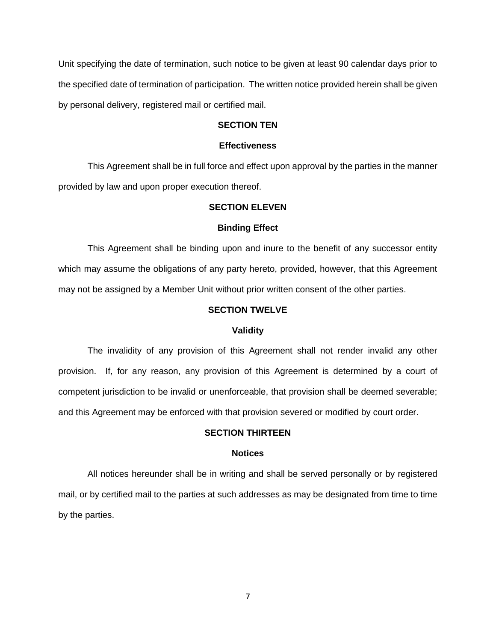Unit specifying the date of termination, such notice to be given at least 90 calendar days prior to the specified date of termination of participation. The written notice provided herein shall be given by personal delivery, registered mail or certified mail.

## **SECTION TEN**

#### **Effectiveness**

This Agreement shall be in full force and effect upon approval by the parties in the manner provided by law and upon proper execution thereof.

### **SECTION ELEVEN**

### **Binding Effect**

This Agreement shall be binding upon and inure to the benefit of any successor entity which may assume the obligations of any party hereto, provided, however, that this Agreement may not be assigned by a Member Unit without prior written consent of the other parties.

## **SECTION TWELVE**

### **Validity**

The invalidity of any provision of this Agreement shall not render invalid any other provision. If, for any reason, any provision of this Agreement is determined by a court of competent jurisdiction to be invalid or unenforceable, that provision shall be deemed severable; and this Agreement may be enforced with that provision severed or modified by court order.

### **SECTION THIRTEEN**

#### **Notices**

All notices hereunder shall be in writing and shall be served personally or by registered mail, or by certified mail to the parties at such addresses as may be designated from time to time by the parties.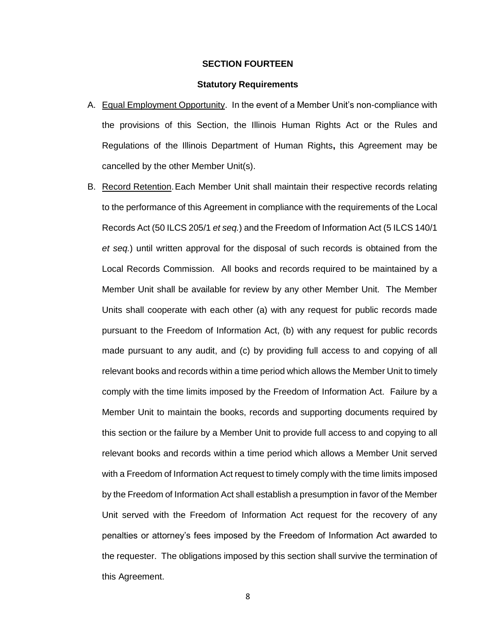### **SECTION FOURTEEN**

### **Statutory Requirements**

- A. Equal Employment Opportunity. In the event of a Member Unit's non-compliance with the provisions of this Section, the Illinois Human Rights Act or the Rules and Regulations of the Illinois Department of Human Rights**,** this Agreement may be cancelled by the other Member Unit(s).
- B. Record Retention.Each Member Unit shall maintain their respective records relating to the performance of this Agreement in compliance with the requirements of the Local Records Act (50 ILCS 205/1 *et seq.*) and the Freedom of Information Act (5 ILCS 140/1 *et seq.*) until written approval for the disposal of such records is obtained from the Local Records Commission. All books and records required to be maintained by a Member Unit shall be available for review by any other Member Unit. The Member Units shall cooperate with each other (a) with any request for public records made pursuant to the Freedom of Information Act, (b) with any request for public records made pursuant to any audit, and (c) by providing full access to and copying of all relevant books and records within a time period which allows the Member Unit to timely comply with the time limits imposed by the Freedom of Information Act. Failure by a Member Unit to maintain the books, records and supporting documents required by this section or the failure by a Member Unit to provide full access to and copying to all relevant books and records within a time period which allows a Member Unit served with a Freedom of Information Act request to timely comply with the time limits imposed by the Freedom of Information Act shall establish a presumption in favor of the Member Unit served with the Freedom of Information Act request for the recovery of any penalties or attorney's fees imposed by the Freedom of Information Act awarded to the requester. The obligations imposed by this section shall survive the termination of this Agreement.